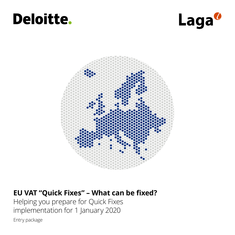# **Deloitte.**





## **EU VAT "Quick Fixes" – What can be fixed?**

Helping you prepare for Quick Fixes implementation for 1 January 2020

Entry package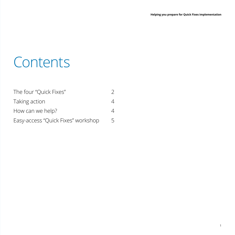# **Contents**

| The four "Quick Fixes"             |   |
|------------------------------------|---|
| Taking action                      | 4 |
| How can we help?                   | 4 |
| Easy-access "Quick Fixes" workshop | 5 |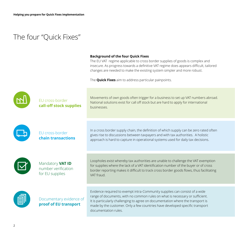### The four "Quick Fixes"

#### **Background of the four Quick Fixes**

The EU VAT regime applicable to cross border supplies of goods is complex and insecure. As progress towards a definitive VAT regime does appears difficult, tailored changes are needed to make the existing system simpler and more robust.

The **Quick Fixes** aim to address particular painpoints.

| EU cross-border<br>call-off stock supplies                 | Movements of own goods often trigger for a business to set up VAT numbers abroad.<br>National solutions exist for call off stock but are hard to apply for international<br>businesses.                                                                                                                                                               |
|------------------------------------------------------------|-------------------------------------------------------------------------------------------------------------------------------------------------------------------------------------------------------------------------------------------------------------------------------------------------------------------------------------------------------|
| EU cross-border<br>chain transactions                      | In a cross border supply chain, the definition of which supply can be zero rated often<br>gives rise to discussions between taxpayers and with tax authorities. A holistic<br>approach is hard to capture in operational systems used for daily tax decisions.                                                                                        |
| Mandatory VAT ID<br>number verification<br>for EU supplies | Loopholes exist whereby tax authorities are unable to challenge the VAT exemption<br>for supplies where the lack of a VAT identification number of the buyer or of cross<br>border reporting makes it difficult to track cross border goods flows, thus facilitating<br>VAT fraud.                                                                    |
| Documentary evidence of<br>proof of EU transport           | Evidence required to exempt intra-Community supplies can consist of a wide<br>range of documents, with no common rules on what is necessary or sufficient.<br>It is particularly challenging to agree on documentation where the transport is<br>made by the customer. Only a few countries have developed specific transport<br>documentation rules. |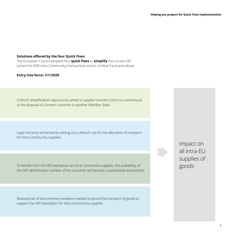#### **Solutions offered by the four Quick Fixes**

The European Council adopted four **quick fixes** to **simplify** the current VAT system for B2B intra-Community transactions and to combat fraud and abuse.

#### **Entry into force: 1/1/2020**

Uniform simplification opportunity where a supplier transfers stock to a warehouse at the disposal of a known customer in another Member State

Legal certainty enhanced by setting out a default rule for the allocation of transport for intra-Community supplies

To benefit from the VAT exemption on intra-Community supplies, the availability of the VAT identification number of the customer will become a substantial requirement

Reduced set of documentary evidence needed to prove the transport of goods to support the VAT exemption for intra-Community supplies

Impact on all intra-EU supplies of goods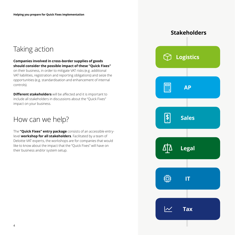## Taking action

#### **Companies involved in cross-border supplies of goods should consider the possible impact of these "Quick Fixes"**

on their business, in order to mitigate VAT risks (e.g. additional VAT liabilities, registration and reporting obligations) and seize the opportunities (e.g. standardisation and enhancement of internal controls).

**Different stakeholders** will be affected and it is important to include all stakeholders in discussions about the "Quick Fixes" impact on your business.

### How can we help?

The **"Quick Fixes" entry package** consists of an accessible entrylevel **workshop for all stakeholders**. Facilitated by a team of Deloitte VAT experts, the workshops are for companies that would like to know about the impact that the "Quick Fixes" will have on their business and/or system setup.

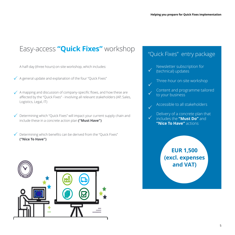## Easy-access **"Quick Fixes"** workshop

A half-day (three hours) on-site workshop, which includes:

- $\checkmark$  A general update and explanation of the four "Quick Fixes"
- $\checkmark$  A mapping and discussion of company-specific flows, and how these are affected by the "Quick Fixes" - involving all relevant stakeholders (AP, Sales, Logistics, Legal, IT)
- $\checkmark$  Determining which "Quick Fixes" will impact your current supply chain and include these in a concrete action plan **("Must Have")**
- $\checkmark$  Determining which benefits can be derived from the "Quick Fixes" **("Nice To Have")**



### "Quick Fixes" entry package

Newsletter subscription for (technical) updates Three-hour on-site workshop Content and programme tailored to your business Accessible to all stakeholders Delivery of a concrete plan that includes the **"Must Do"** and **"Nice To Have"** actions  $\checkmark$  $\checkmark$  $\checkmark$  $\checkmark$  $\checkmark$ **EUR 1,500 (excl. expenses and VAT)**